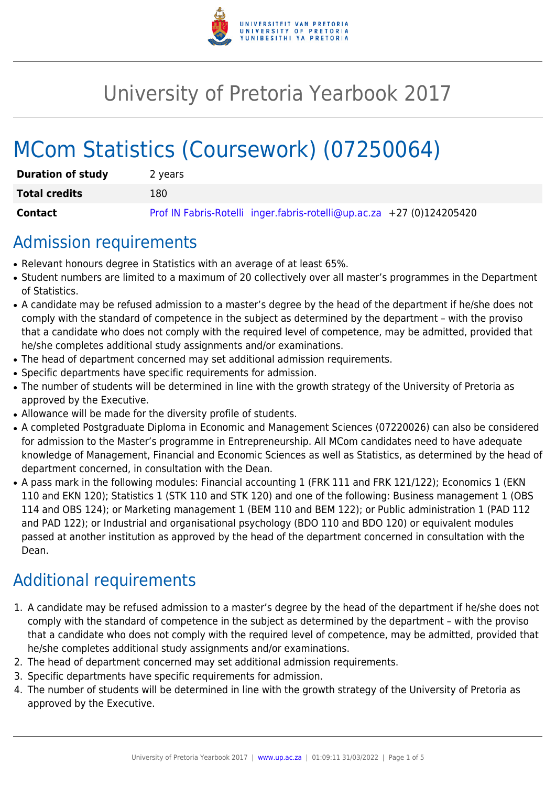

# University of Pretoria Yearbook 2017

# MCom Statistics (Coursework) (07250064)

| <b>Duration of study</b> | 2 years                                                               |
|--------------------------|-----------------------------------------------------------------------|
| <b>Total credits</b>     | 180                                                                   |
| Contact                  | Prof IN Fabris-Rotelli inger.fabris-rotelli@up.ac.za +27 (0)124205420 |

## Admission requirements

- Relevant honours degree in Statistics with an average of at least 65%.
- Student numbers are limited to a maximum of 20 collectively over all master's programmes in the Department of Statistics.
- A candidate may be refused admission to a master's degree by the head of the department if he/she does not comply with the standard of competence in the subject as determined by the department – with the proviso that a candidate who does not comply with the required level of competence, may be admitted, provided that he/she completes additional study assignments and/or examinations.
- The head of department concerned may set additional admission requirements.
- Specific departments have specific requirements for admission.
- The number of students will be determined in line with the growth strategy of the University of Pretoria as approved by the Executive.
- Allowance will be made for the diversity profile of students.
- A completed Postgraduate Diploma in Economic and Management Sciences (07220026) can also be considered for admission to the Master's programme in Entrepreneurship. All MCom candidates need to have adequate knowledge of Management, Financial and Economic Sciences as well as Statistics, as determined by the head of department concerned, in consultation with the Dean.
- A pass mark in the following modules: Financial accounting 1 (FRK 111 and FRK 121/122); Economics 1 (EKN 110 and EKN 120); Statistics 1 (STK 110 and STK 120) and one of the following: Business management 1 (OBS 114 and OBS 124); or Marketing management 1 (BEM 110 and BEM 122); or Public administration 1 (PAD 112 and PAD 122); or Industrial and organisational psychology (BDO 110 and BDO 120) or equivalent modules passed at another institution as approved by the head of the department concerned in consultation with the Dean.

## Additional requirements

- 1. A candidate may be refused admission to a master's degree by the head of the department if he/she does not comply with the standard of competence in the subject as determined by the department – with the proviso that a candidate who does not comply with the required level of competence, may be admitted, provided that he/she completes additional study assignments and/or examinations.
- 2. The head of department concerned may set additional admission requirements.
- 3. Specific departments have specific requirements for admission.
- 4. The number of students will be determined in line with the growth strategy of the University of Pretoria as approved by the Executive.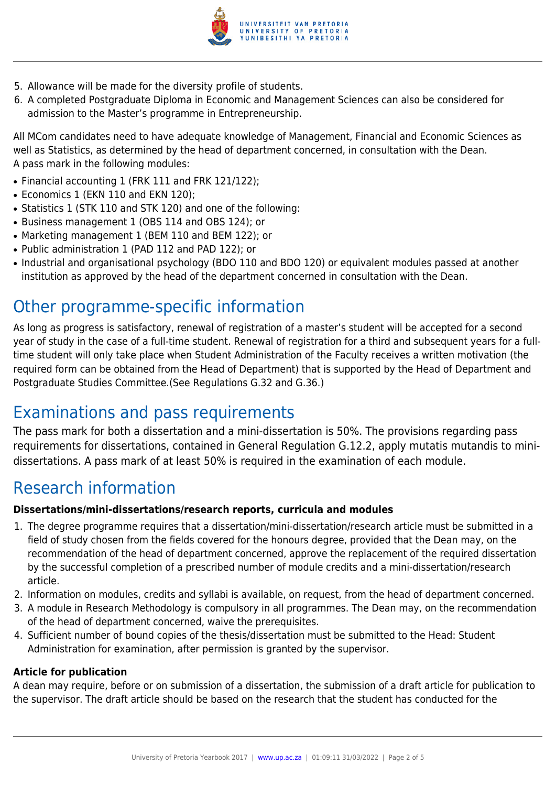

- 5. Allowance will be made for the diversity profile of students.
- 6. A completed Postgraduate Diploma in Economic and Management Sciences can also be considered for admission to the Master's programme in Entrepreneurship.

All MCom candidates need to have adequate knowledge of Management, Financial and Economic Sciences as well as Statistics, as determined by the head of department concerned, in consultation with the Dean. A pass mark in the following modules:

- Financial accounting 1 (FRK 111 and FRK 121/122);
- Economics 1 (EKN 110 and EKN 120);
- Statistics 1 (STK 110 and STK 120) and one of the following:
- Business management 1 (OBS 114 and OBS 124); or
- Marketing management 1 (BEM 110 and BEM 122); or
- Public administration 1 (PAD 112 and PAD 122); or
- Industrial and organisational psychology (BDO 110 and BDO 120) or equivalent modules passed at another institution as approved by the head of the department concerned in consultation with the Dean.

## Other programme-specific information

As long as progress is satisfactory, renewal of registration of a master's student will be accepted for a second year of study in the case of a full-time student. Renewal of registration for a third and subsequent years for a fulltime student will only take place when Student Administration of the Faculty receives a written motivation (the required form can be obtained from the Head of Department) that is supported by the Head of Department and Postgraduate Studies Committee.(See Regulations G.32 and G.36.)

## Examinations and pass requirements

The pass mark for both a dissertation and a mini-dissertation is 50%. The provisions regarding pass requirements for dissertations, contained in General Regulation G.12.2, apply mutatis mutandis to minidissertations. A pass mark of at least 50% is required in the examination of each module.

## Research information

## **Dissertations/mini-dissertations/research reports, curricula and modules**

- 1. The degree programme requires that a dissertation/mini-dissertation/research article must be submitted in a field of study chosen from the fields covered for the honours degree, provided that the Dean may, on the recommendation of the head of department concerned, approve the replacement of the required dissertation by the successful completion of a prescribed number of module credits and a mini-dissertation/research article.
- 2. Information on modules, credits and syllabi is available, on request, from the head of department concerned.
- 3. A module in Research Methodology is compulsory in all programmes. The Dean may, on the recommendation of the head of department concerned, waive the prerequisites.
- 4. Sufficient number of bound copies of the thesis/dissertation must be submitted to the Head: Student Administration for examination, after permission is granted by the supervisor.

## **Article for publication**

A dean may require, before or on submission of a dissertation, the submission of a draft article for publication to the supervisor. The draft article should be based on the research that the student has conducted for the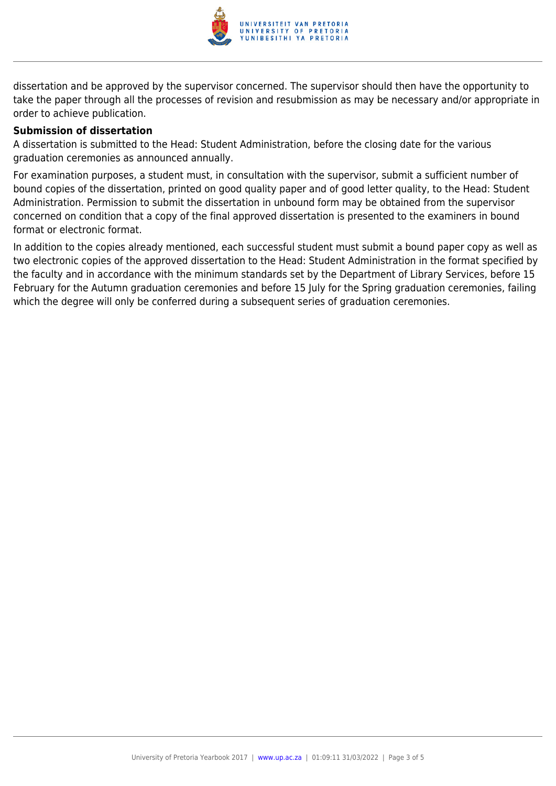

dissertation and be approved by the supervisor concerned. The supervisor should then have the opportunity to take the paper through all the processes of revision and resubmission as may be necessary and/or appropriate in order to achieve publication.

### **Submission of dissertation**

A dissertation is submitted to the Head: Student Administration, before the closing date for the various graduation ceremonies as announced annually.

For examination purposes, a student must, in consultation with the supervisor, submit a sufficient number of bound copies of the dissertation, printed on good quality paper and of good letter quality, to the Head: Student Administration. Permission to submit the dissertation in unbound form may be obtained from the supervisor concerned on condition that a copy of the final approved dissertation is presented to the examiners in bound format or electronic format.

In addition to the copies already mentioned, each successful student must submit a bound paper copy as well as two electronic copies of the approved dissertation to the Head: Student Administration in the format specified by the faculty and in accordance with the minimum standards set by the Department of Library Services, before 15 February for the Autumn graduation ceremonies and before 15 July for the Spring graduation ceremonies, failing which the degree will only be conferred during a subsequent series of graduation ceremonies.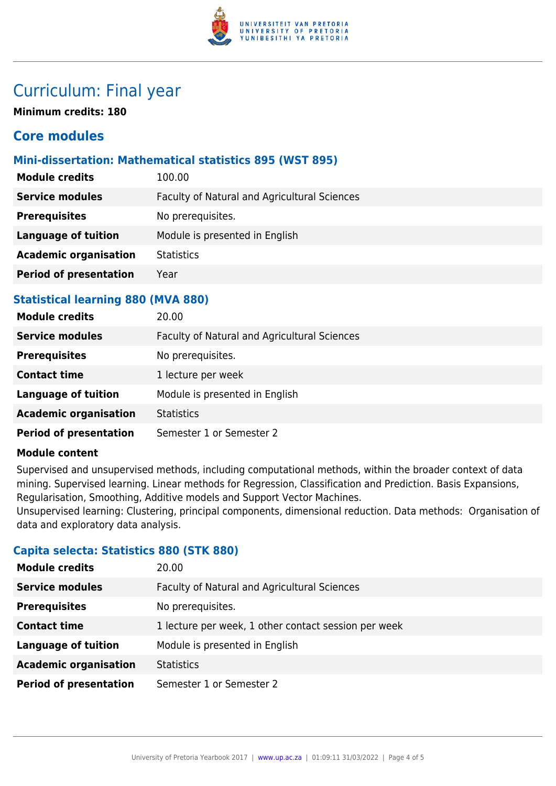

## Curriculum: Final year

**Minimum credits: 180**

## **Core modules**

## **Mini-dissertation: Mathematical statistics 895 (WST 895)**

| <b>Module credits</b>         | 100.00                                       |
|-------------------------------|----------------------------------------------|
| <b>Service modules</b>        | Faculty of Natural and Agricultural Sciences |
| <b>Prerequisites</b>          | No prerequisites.                            |
| <b>Language of tuition</b>    | Module is presented in English               |
| <b>Academic organisation</b>  | <b>Statistics</b>                            |
| <b>Period of presentation</b> | Year                                         |
|                               |                                              |

## **Statistical learning 880 (MVA 880)**

| <b>Module credits</b>         | 20.00                                        |
|-------------------------------|----------------------------------------------|
| <b>Service modules</b>        | Faculty of Natural and Agricultural Sciences |
| <b>Prerequisites</b>          | No prerequisites.                            |
| <b>Contact time</b>           | 1 lecture per week                           |
| <b>Language of tuition</b>    | Module is presented in English               |
| <b>Academic organisation</b>  | <b>Statistics</b>                            |
| <b>Period of presentation</b> | Semester 1 or Semester 2                     |

## **Module content**

Supervised and unsupervised methods, including computational methods, within the broader context of data mining. Supervised learning. Linear methods for Regression, Classification and Prediction. Basis Expansions, Regularisation, Smoothing, Additive models and Support Vector Machines. Unsupervised learning: Clustering, principal components, dimensional reduction. Data methods: Organisation of data and exploratory data analysis.

## **Capita selecta: Statistics 880 (STK 880)**

| <b>Module credits</b>         | 20.00                                                |
|-------------------------------|------------------------------------------------------|
| <b>Service modules</b>        | Faculty of Natural and Agricultural Sciences         |
| <b>Prerequisites</b>          | No prerequisites.                                    |
| <b>Contact time</b>           | 1 lecture per week, 1 other contact session per week |
| <b>Language of tuition</b>    | Module is presented in English                       |
| <b>Academic organisation</b>  | <b>Statistics</b>                                    |
| <b>Period of presentation</b> | Semester 1 or Semester 2                             |